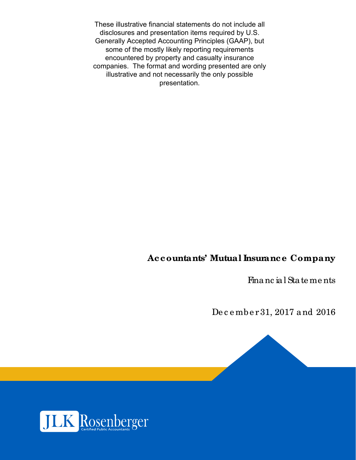These illustrative financial statements do not include all disclosures and presentation items required by U.S. Generally Accepted Accounting Principles (GAAP), but some of the mostly likely reporting requirements encountered by property and casualty insurance companies. The format and wording presented are only illustrative and not necessarily the only possible presentation.

# **Accountants' Mutual Insurance Company**

Financ ial State me nts

De c e mbe r 31, 2017 and 2016

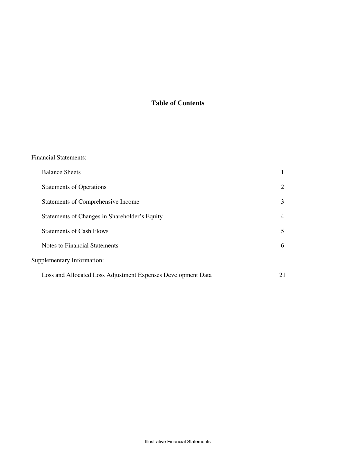## **Table of Contents**

| <b>Financial Statements:</b>                                 |    |
|--------------------------------------------------------------|----|
| <b>Balance Sheets</b>                                        | 1  |
| <b>Statements of Operations</b>                              | 2  |
| Statements of Comprehensive Income                           | 3  |
| Statements of Changes in Shareholder's Equity                | 4  |
| <b>Statements of Cash Flows</b>                              | 5  |
| <b>Notes to Financial Statements</b>                         | 6  |
| Supplementary Information:                                   |    |
| Loss and Allocated Loss Adjustment Expenses Development Data | 21 |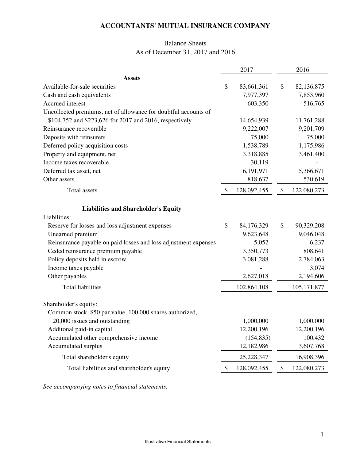## Balance Sheets As of December 31, 2017 and 2016

|                                                                 |    | 2017        | 2016              |
|-----------------------------------------------------------------|----|-------------|-------------------|
| <b>Assets</b>                                                   |    |             |                   |
| Available-for-sale securities                                   | \$ | 83,661,361  | \$<br>82,136,875  |
| Cash and cash equivalents                                       |    | 7,977,397   | 7,853,960         |
| Accrued interest                                                |    | 603,350     | 516,765           |
| Uncollected premiums, net of allowance for doubtful accounts of |    |             |                   |
| \$104,752 and \$223,626 for 2017 and 2016, respectively         |    | 14,654,939  | 11,761,288        |
| Reinsurance recoverable                                         |    | 9,222,007   | 9,201,709         |
| Deposits with reinsurers                                        |    | 75,000      | 75,000            |
| Deferred policy acquisition costs                               |    | 1,538,789   | 1,175,986         |
| Property and equipment, net                                     |    | 3,318,885   | 3,461,400         |
| Income taxes recoverable                                        |    | 30,119      |                   |
| Deferred tax asset, net                                         |    | 6,191,971   | 5,366,671         |
| Other assets                                                    |    | 818,637     | 530,619           |
| Total assets                                                    | S  | 128,092,455 | \$<br>122,080,273 |
| <b>Liabilities and Shareholder's Equity</b>                     |    |             |                   |
| Liabilities:                                                    |    |             |                   |
| Reserve for losses and loss adjustment expenses                 | \$ | 84,176,329  | \$<br>90,329,208  |
| Unearned premium                                                |    | 9,623,648   | 9,046,048         |
| Reinsurance payable on paid losses and loss adjustment expenses |    | 5,052       | 6,237             |
| Ceded reinsurance premium payable                               |    | 3,350,773   | 808,641           |
| Policy deposits held in escrow                                  |    | 3,081,288   | 2,784,063         |
| Income taxes payable                                            |    |             | 3,074             |
| Other payables                                                  |    | 2,627,018   | 2,194,606         |
| <b>Total liabilities</b>                                        |    | 102,864,108 | 105, 171, 877     |
| Shareholder's equity:                                           |    |             |                   |
| Common stock, \$50 par value, 100,000 shares authorized,        |    |             |                   |
| 20,000 issues and outstanding                                   |    | 1,000,000   | 1,000,000         |
| Additonal paid-in capital                                       |    | 12,200,196  | 12,200,196        |
| Accumulated other comprehensive income                          |    | (154, 835)  | 100,432           |
| Accumulated surplus                                             |    | 12,182,986  | 3,607,768         |
| Total shareholder's equity                                      |    | 25,228,347  | 16,908,396        |
| Total liabilities and shareholder's equity                      | \$ | 128,092,455 | \$<br>122,080,273 |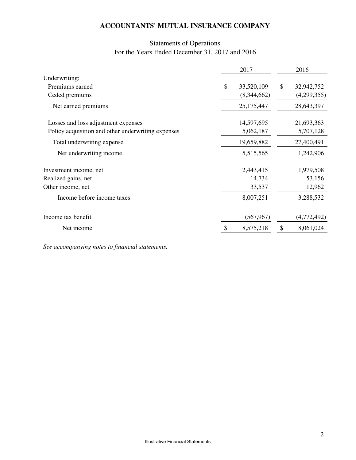## Statements of Operations For the Years Ended December 31, 2017 and 2016

|                                                    | 2017             | 2016             |
|----------------------------------------------------|------------------|------------------|
| Underwriting:                                      |                  |                  |
| Premiums earned                                    | \$<br>33,520,109 | \$<br>32,942,752 |
| Ceded premiums                                     | (8,344,662)      | (4,299,355)      |
| Net earned premiums                                | 25,175,447       | 28,643,397       |
| Losses and loss adjustment expenses                | 14,597,695       | 21,693,363       |
| Policy acquisition and other underwriting expenses | 5,062,187        | 5,707,128        |
| Total underwriting expense                         | 19,659,882       | 27,400,491       |
| Net underwriting income                            | 5,515,565        | 1,242,906        |
| Investment income, net                             | 2,443,415        | 1,979,508        |
| Realized gains, net                                | 14,734           | 53,156           |
| Other income, net                                  | 33,537           | 12,962           |
| Income before income taxes                         | 8,007,251        | 3,288,532        |
| Income tax benefit                                 | (567, 967)       | (4,772,492)      |
| Net income                                         | \$<br>8,575,218  | \$<br>8,061,024  |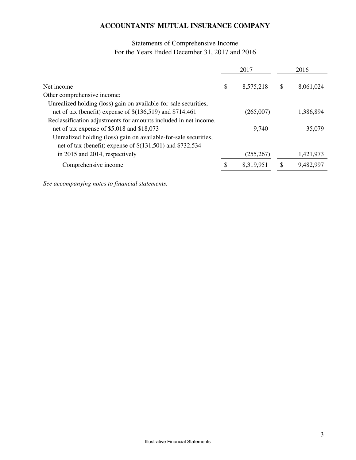## Statements of Comprehensive Income For the Years Ended December 31, 2017 and 2016

|                                                                  | 2017            |     | 2016      |
|------------------------------------------------------------------|-----------------|-----|-----------|
| Net income                                                       | \$<br>8,575,218 | \$. | 8,061,024 |
| Other comprehensive income:                                      |                 |     |           |
| Unrealized holding (loss) gain on available-for-sale securities, |                 |     |           |
| net of tax (benefit) expense of $$(136,519)$ and $$714,461$      | (265,007)       |     | 1,386,894 |
| Reclassification adjustments for amounts included in net income, |                 |     |           |
| net of tax expense of \$5,018 and \$18,073                       | 9,740           |     | 35,079    |
| Unrealized holding (loss) gain on available-for-sale securities, |                 |     |           |
| net of tax (benefit) expense of $$(131,501)$ and $$732,534$      |                 |     |           |
| in 2015 and 2014, respectively                                   | (255, 267)      |     | 1,421,973 |
| Comprehensive income                                             | 8,319,951       | S   | 9,482,997 |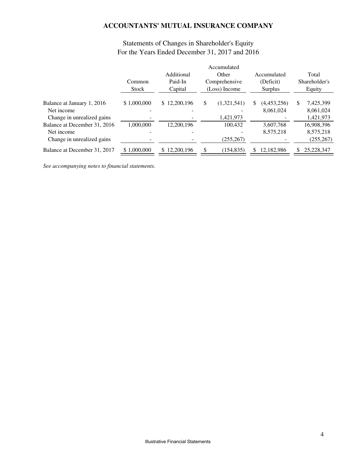|                                                                          | Common<br><b>Stock</b> | Additional<br>Paid-In<br>Capital | Accumulated<br>Other<br>Comprehensive<br>(Loss) Income | Accumulated<br>(Deficit)<br>Surplus | Total<br>Shareholder's<br>Equity          |
|--------------------------------------------------------------------------|------------------------|----------------------------------|--------------------------------------------------------|-------------------------------------|-------------------------------------------|
| Balance at January 1, 2016<br>Net income<br>Change in unrealized gains   | \$1,000,000            | \$12,200,196                     | \$<br>(1,321,541)<br>1,421,973                         | \$<br>(4,453,256)<br>8,061,024      | \$<br>7,425,399<br>8,061,024<br>1,421,973 |
| Balance at December 31, 2016<br>Net income<br>Change in unrealized gains | 1.000.000              | 12,200,196                       | 100.432<br>(255, 267)                                  | 3.607.768<br>8,575,218              | 16,908,396<br>8,575,218<br>(255, 267)     |
| Balance at December 31, 2017                                             | \$1,000,000            | 12,200,196                       | (154, 835)                                             | 12,182,986<br>S                     | 25,228,347<br>S                           |

## Statements of Changes in Shareholder's Equity For the Years Ended December 31, 2017 and 2016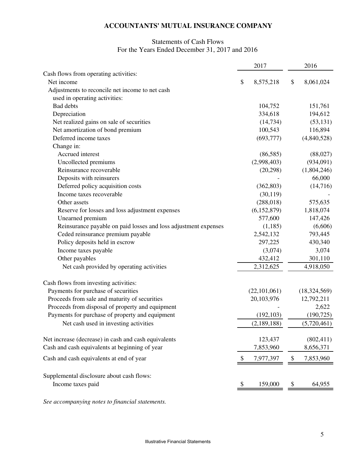### Statements of Cash Flows For the Years Ended December 31, 2017 and 2016

|                                                                 | 2017            | 2016            |
|-----------------------------------------------------------------|-----------------|-----------------|
| Cash flows from operating activities:                           |                 |                 |
| Net income                                                      | \$<br>8,575,218 | \$<br>8,061,024 |
| Adjustments to reconcile net income to net cash                 |                 |                 |
| used in operating activities:                                   |                 |                 |
| Bad debts                                                       | 104,752         | 151,761         |
| Depreciation                                                    | 334,618         | 194,612         |
| Net realized gains on sale of securities                        | (14, 734)       | (53, 131)       |
| Net amortization of bond premium                                | 100,543         | 116,894         |
| Deferred income taxes                                           | (693, 777)      | (4,840,528)     |
| Change in:                                                      |                 |                 |
| Accrued interest                                                | (86,585)        | (88,027)        |
| Uncollected premiums                                            | (2,998,403)     | (934,091)       |
| Reinsurance recoverable                                         | (20, 298)       | (1,804,246)     |
| Deposits with reinsurers                                        |                 | 66,000          |
| Deferred policy acquisition costs                               | (362, 803)      | (14,716)        |
| Income taxes recoverable                                        | (30, 119)       |                 |
| Other assets                                                    | (288, 018)      | 575,635         |
| Reserve for losses and loss adjustment expenses                 | (6, 152, 879)   | 1,818,074       |
| Unearned premium                                                | 577,600         | 147,426         |
| Reinsurance payable on paid losses and loss adjustment expenses | (1,185)         | (6,606)         |
| Ceded reinsurance premium payable                               | 2,542,132       | 793,445         |
| Policy deposits held in escrow                                  | 297,225         | 430,340         |
| Income taxes payable                                            | (3,074)         | 3,074           |
| Other payables                                                  | 432,412         | 301,110         |
| Net cash provided by operating activities                       | 2,312,625       | 4,918,050       |
| Cash flows from investing activities:                           |                 |                 |
| Payments for purchase of securities                             | (22, 101, 061)  | (18, 324, 569)  |
| Proceeds from sale and maturity of securities                   | 20,103,976      | 12,792,211      |
| Proceeds from disposal of property and equipment                |                 | 2,622           |
| Payments for purchase of property and equipment                 | (192, 103)      | (190, 725)      |
| Net cash used in investing activities                           | (2,189,188)     | (5,720,461)     |
| Net increase (decrease) in cash and cash equivalents            | 123,437         | (802, 411)      |
| Cash and cash equivalents at beginning of year                  | 7,853,960       | 8,656,371       |
| Cash and cash equivalents at end of year                        | \$<br>7,977,397 | \$<br>7,853,960 |
| Supplemental disclosure about cash flows:                       |                 |                 |
| Income taxes paid                                               | 159,000         | 64,955          |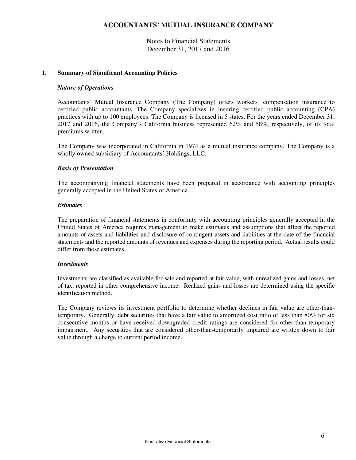Notes to Financial Statements December 31, 2017 and 2016

### **1. Summary of Significant Accounting Policies**

#### *Nature of Operations*

Accountants' Mutual Insurance Company (The Company) offers workers' compensation insurance to certified public accountants. The Company specializes in insuring certified public accounting (CPA) practices with up to 100 employees. The Company is licensed in 5 states. For the years ended December 31, 2017 and 2016, the Company's California business represented 62% and 58%, respectively, of its total premiums written.

The Company was incorporated in California in 1974 as a mutual insurance company. The Company is a wholly owned subsidiary of Accountants' Holdings, LLC.

### *Basis of Presentation*

The accompanying financial statements have been prepared in accordance with accounting principles generally accepted in the United States of America.

### *Estimates*

The preparation of financial statements in conformity with accounting principles generally accepted in the United States of America requires management to make estimates and assumptions that affect the reported amounts of assets and liabilities and disclosure of contingent assets and liabilities at the date of the financial statements and the reported amounts of revenues and expenses during the reporting period. Actual results could differ from those estimates.

#### *Investments*

Investments are classified as available-for-sale and reported at fair value, with unrealized gains and losses, net of tax, reported in other comprehensive income. Realized gains and losses are determined using the specific identification method.

The Company reviews its investment portfolio to determine whether declines in fair value are other-thantemporary. Generally, debt securities that have a fair value to amortized cost ratio of less than 80% for six consecutive months or have received downgraded credit ratings are considered for other-than-temporary impairment. Any securities that are considered other-than-temporarily impaired are written down to fair value through a charge to current period income.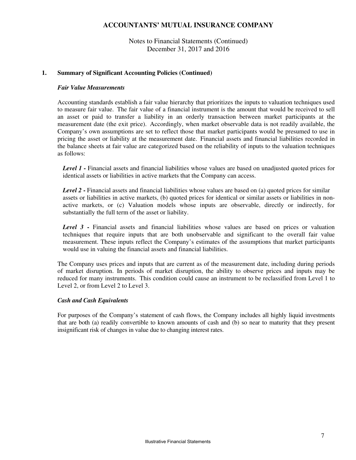Notes to Financial Statements (Continued) December 31, 2017 and 2016

#### **1. Summary of Significant Accounting Policies (Continued)**

#### *Fair Value Measurements*

Accounting standards establish a fair value hierarchy that prioritizes the inputs to valuation techniques used to measure fair value. The fair value of a financial instrument is the amount that would be received to sell an asset or paid to transfer a liability in an orderly transaction between market participants at the measurement date (the exit price). Accordingly, when market observable data is not readily available, the Company's own assumptions are set to reflect those that market participants would be presumed to use in pricing the asset or liability at the measurement date. Financial assets and financial liabilities recorded in the balance sheets at fair value are categorized based on the reliability of inputs to the valuation techniques as follows:

*Level 1* **-** Financial assets and financial liabilities whose values are based on unadjusted quoted prices for identical assets or liabilities in active markets that the Company can access.

*Level 2* **-** Financial assets and financial liabilities whose values are based on (a) quoted prices for similar assets or liabilities in active markets, (b) quoted prices for identical or similar assets or liabilities in nonactive markets, or (c) Valuation models whose inputs are observable, directly or indirectly, for substantially the full term of the asset or liability.

Level 3 - Financial assets and financial liabilities whose values are based on prices or valuation techniques that require inputs that are both unobservable and significant to the overall fair value measurement. These inputs reflect the Company's estimates of the assumptions that market participants would use in valuing the financial assets and financial liabilities.

The Company uses prices and inputs that are current as of the measurement date, including during periods of market disruption. In periods of market disruption, the ability to observe prices and inputs may be reduced for many instruments. This condition could cause an instrument to be reclassified from Level 1 to Level 2, or from Level 2 to Level 3.

#### *Cash and Cash Equivalents*

For purposes of the Company's statement of cash flows, the Company includes all highly liquid investments that are both (a) readily convertible to known amounts of cash and (b) so near to maturity that they present insignificant risk of changes in value due to changing interest rates.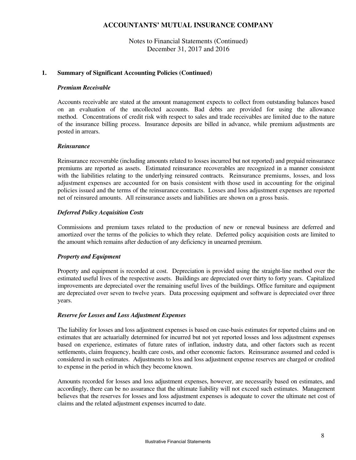Notes to Financial Statements (Continued) December 31, 2017 and 2016

### **1. Summary of Significant Accounting Policies (Continued)**

#### *Premium Receivable*

Accounts receivable are stated at the amount management expects to collect from outstanding balances based on an evaluation of the uncollected accounts. Bad debts are provided for using the allowance method. Concentrations of credit risk with respect to sales and trade receivables are limited due to the nature of the insurance billing process. Insurance deposits are billed in advance, while premium adjustments are posted in arrears.

### *Reinsurance*

Reinsurance recoverable (including amounts related to losses incurred but not reported) and prepaid reinsurance premiums are reported as assets. Estimated reinsurance recoverables are recognized in a manner consistent with the liabilities relating to the underlying reinsured contracts. Reinsurance premiums, losses, and loss adjustment expenses are accounted for on basis consistent with those used in accounting for the original policies issued and the terms of the reinsurance contracts. Losses and loss adjustment expenses are reported net of reinsured amounts. All reinsurance assets and liabilities are shown on a gross basis.

### *Deferred Policy Acquisition Costs*

Commissions and premium taxes related to the production of new or renewal business are deferred and amortized over the terms of the policies to which they relate. Deferred policy acquisition costs are limited to the amount which remains after deduction of any deficiency in unearned premium.

### *Property and Equipment*

Property and equipment is recorded at cost. Depreciation is provided using the straight-line method over the estimated useful lives of the respective assets. Buildings are depreciated over thirty to forty years. Capitalized improvements are depreciated over the remaining useful lives of the buildings. Office furniture and equipment are depreciated over seven to twelve years. Data processing equipment and software is depreciated over three years.

### *Reserve for Losses and Loss Adjustment Expenses*

The liability for losses and loss adjustment expenses is based on case-basis estimates for reported claims and on estimates that are actuarially determined for incurred but not yet reported losses and loss adjustment expenses based on experience, estimates of future rates of inflation, industry data, and other factors such as recent settlements, claim frequency, health care costs, and other economic factors. Reinsurance assumed and ceded is considered in such estimates. Adjustments to loss and loss adjustment expense reserves are charged or credited to expense in the period in which they become known.

Amounts recorded for losses and loss adjustment expenses, however, are necessarily based on estimates, and accordingly, there can be no assurance that the ultimate liability will not exceed such estimates. Management believes that the reserves for losses and loss adjustment expenses is adequate to cover the ultimate net cost of claims and the related adjustment expenses incurred to date.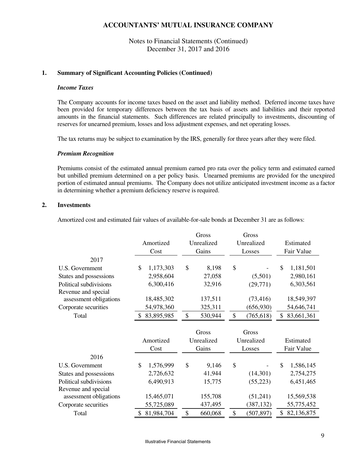### Notes to Financial Statements (Continued) December 31, 2017 and 2016

#### **1. Summary of Significant Accounting Policies (Continued)**

#### *Income Taxes*

The Company accounts for income taxes based on the asset and liability method. Deferred income taxes have been provided for temporary differences between the tax basis of assets and liabilities and their reported amounts in the financial statements. Such differences are related principally to investments, discounting of reserves for unearned premium, losses and loss adjustment expenses, and net operating losses.

The tax returns may be subject to examination by the IRS, generally for three years after they were filed.

#### *Premium Recognition*

Premiums consist of the estimated annual premium earned pro rata over the policy term and estimated earned but unbilled premium determined on a per policy basis. Unearned premiums are provided for the unexpired portion of estimated annual premiums. The Company does not utilize anticipated investment income as a factor in determining whether a premium deficiency reserve is required.

#### **2. Investments**

Amortized cost and estimated fair values of available-for-sale bonds at December 31 are as follows:

|                        |                  | Gross         | Gross            |                  |
|------------------------|------------------|---------------|------------------|------------------|
|                        | Amortized        | Unrealized    | Unrealized       | Estimated        |
|                        | Cost             | Gains         | Losses           | Fair Value       |
| 2017                   |                  |               |                  |                  |
| U.S. Government        | \$<br>1,173,303  | \$<br>8,198   | \$               | \$<br>1,181,501  |
| States and possessions | 2,958,604        | 27,058        | (5,501)          | 2,980,161        |
| Political subdivisions | 6,300,416        | 32,916        | (29,771)         | 6,303,561        |
| Revenue and special    |                  |               |                  |                  |
| assessment obligations | 18,485,302       | 137,511       | (73, 416)        | 18,549,397       |
| Corporate securities   | 54,978,360       | 325,311       | (656, 930)       | 54,646,741       |
| Total                  | 83,895,985<br>\$ | \$<br>530,944 | \$<br>(765, 618) | \$<br>83,661,361 |
|                        |                  |               |                  |                  |
|                        |                  | Gross         | Gross            |                  |
|                        | Amortized        | Unrealized    | Unrealized       | Estimated        |
|                        | Cost             | Gains         | Losses           | Fair Value       |
| 2016                   |                  |               |                  |                  |
| U.S. Government        | \$<br>1,576,999  | \$<br>9,146   | \$               | \$<br>1,586,145  |
| States and possessions | 2,726,632        | 41,944        | (14,301)         | 2,754,275        |
| Political subdivisions | 6,490,913        | 15,775        | (55, 223)        | 6,451,465        |
| Revenue and special    |                  |               |                  |                  |
|                        |                  |               |                  |                  |
| assessment obligations | 15,465,071       | 155,708       | (51,241)         | 15,569,538       |
| Corporate securities   | 55,725,089       | 437,495       | (387, 132)       | 55,775,452       |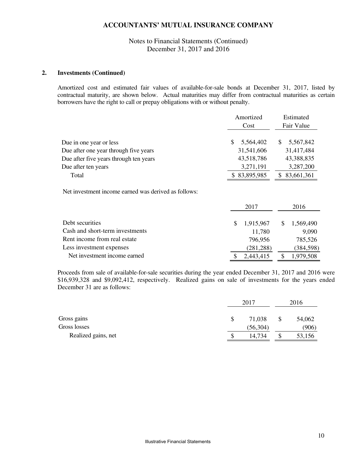### Notes to Financial Statements (Continued) December 31, 2017 and 2016

#### **2. Investments (Continued)**

Amortized cost and estimated fair values of available-for-sale bonds at December 31, 2017, listed by contractual maturity, are shown below. Actual maturities may differ from contractual maturities as certain borrowers have the right to call or prepay obligations with or without penalty.

|                                                      | Amortized    |            |    | Estimated     |  |  |
|------------------------------------------------------|--------------|------------|----|---------------|--|--|
|                                                      |              | Cost       |    | Fair Value    |  |  |
| Due in one year or less                              | \$           | 5,564,402  | \$ | 5,567,842     |  |  |
| Due after one year through five years                |              | 31,541,606 |    | 31,417,484    |  |  |
| Due after five years through ten years               |              | 43,518,786 |    | 43,388,835    |  |  |
| Due after ten years                                  |              | 3,271,191  |    | 3,287,200     |  |  |
| Total                                                | \$83,895,985 |            |    | \$ 83,661,361 |  |  |
| Net investment income earned was derived as follows: |              | 2017       |    | 2016          |  |  |
| Debt securities                                      | \$           | 1,915,967  | \$ | 1,569,490     |  |  |
| Cash and short-term investments                      |              | 11,780     |    | 9,090         |  |  |
| Rent income from real estate                         |              | 796,956    |    | 785,526       |  |  |
| Less investment expenses                             |              | (281, 288) |    | (384, 598)    |  |  |
| Net investment income earned                         | \$           | 2,443,415  | \$ | 1,979,508     |  |  |

Proceeds from sale of available-for-sale securities during the year ended December 31, 2017 and 2016 were \$16,939,328 and \$9,092,412, respectively. Realized gains on sale of investments for the years ended December 31 are as follows:

|                     |   | 2017      | 2016 |        |  |
|---------------------|---|-----------|------|--------|--|
| Gross gains         | S | 71,038    |      | 54,062 |  |
| Gross losses        |   | (56, 304) |      | (906)  |  |
| Realized gains, net | S | 14,734    |      | 53,156 |  |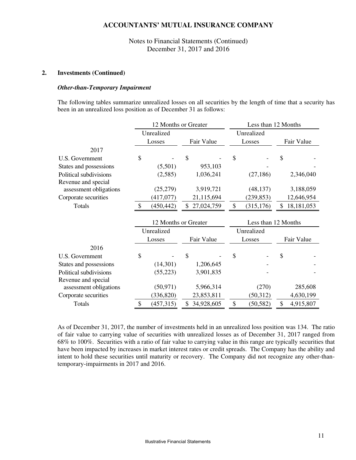Notes to Financial Statements (Continued) December 31, 2017 and 2016

#### **2. Investments (Continued)**

#### *Other-than-Temporary Impairment*

The following tables summarize unrealized losses on all securities by the length of time that a security has been in an unrealized loss position as of December 31 as follows:

|                        | 12 Months or Greater |                      |                | Less than 12 Months |            |                     |    |              |
|------------------------|----------------------|----------------------|----------------|---------------------|------------|---------------------|----|--------------|
|                        | Unrealized           |                      |                |                     | Unrealized |                     |    |              |
|                        |                      | Losses               |                | Fair Value          |            | Losses              |    | Fair Value   |
| 2017                   |                      |                      |                |                     |            |                     |    |              |
| U.S. Government        | \$                   |                      | $\mathcal{S}$  |                     | \$         |                     | \$ |              |
| States and possessions |                      | (5,501)              |                | 953,103             |            |                     |    |              |
| Political subdivisions |                      | (2,585)              |                | 1,036,241           |            | (27, 186)           |    | 2,346,040    |
| Revenue and special    |                      |                      |                |                     |            |                     |    |              |
| assessment obligations |                      | (25,279)             |                | 3,919,721           |            | (48, 137)           |    | 3,188,059    |
| Corporate securities   |                      | (417,077)            |                | 21,115,694          |            | (239, 853)          |    | 12,646,954   |
| Totals                 | $\mathcal{S}$        | (450, 442)           | $\mathbb{S}^-$ | 27,024,759          | \$         | (315, 176)          | \$ | 18, 181, 053 |
|                        |                      | 12 Months or Greater |                |                     |            | Less than 12 Months |    |              |
|                        |                      | Unrealized           |                |                     |            | Unrealized          |    |              |
|                        |                      | Losses               |                | Fair Value          |            | Losses              |    | Fair Value   |
| 2016                   |                      |                      |                |                     |            |                     |    |              |
|                        |                      |                      |                |                     |            |                     |    |              |
| U.S. Government        | \$                   |                      | \$             |                     | \$         |                     | \$ |              |
| States and possessions |                      | (14,301)             |                | 1,206,645           |            |                     |    |              |
| Political subdivisions |                      | (55, 223)            |                | 3,901,835           |            |                     |    |              |
| Revenue and special    |                      |                      |                |                     |            |                     |    |              |
| assessment obligations |                      | (50, 971)            |                | 5,966,314           |            | (270)               |    | 285,608      |
| Corporate securities   |                      | (336, 820)           |                | 23,853,811          |            | (50,312)            |    | 4,630,199    |

As of December 31, 2017, the number of investments held in an unrealized loss position was 134. The ratio of fair value to carrying value of securities with unrealized losses as of December 31, 2017 ranged from 68% to 100%. Securities with a ratio of fair value to carrying value in this range are typically securities that have been impacted by increases in market interest rates or credit spreads. The Company has the ability and intent to hold these securities until maturity or recovery. The Company did not recognize any other-thantemporary-impairments in 2017 and 2016.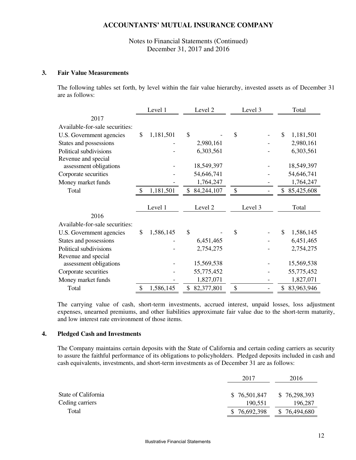Notes to Financial Statements (Continued) December 31, 2017 and 2016

#### **3. Fair Value Measurements**

The following tables set forth, by level within the fair value hierarchy, invested assets as of December 31 are as follows:

|                                | Level 1<br>Level 2 |           |               |            |    |         |  |    |            |  | Level 3 |  |  | Total |  |
|--------------------------------|--------------------|-----------|---------------|------------|----|---------|--|----|------------|--|---------|--|--|-------|--|
| 2017                           |                    |           |               |            |    |         |  |    |            |  |         |  |  |       |  |
| Available-for-sale securities: |                    |           |               |            |    |         |  |    |            |  |         |  |  |       |  |
| U.S. Government agencies       | \$                 | 1,181,501 | $\mathcal{S}$ |            | \$ |         |  | \$ | 1,181,501  |  |         |  |  |       |  |
| States and possessions         |                    |           |               | 2,980,161  |    |         |  |    | 2,980,161  |  |         |  |  |       |  |
| Political subdivisions         |                    |           |               | 6,303,561  |    |         |  |    | 6,303,561  |  |         |  |  |       |  |
| Revenue and special            |                    |           |               |            |    |         |  |    |            |  |         |  |  |       |  |
| assessment obligations         |                    |           |               | 18,549,397 |    |         |  |    | 18,549,397 |  |         |  |  |       |  |
| Corporate securities           |                    |           |               | 54,646,741 |    |         |  |    | 54,646,741 |  |         |  |  |       |  |
| Money market funds             |                    |           |               | 1,764,247  |    |         |  |    | 1,764,247  |  |         |  |  |       |  |
| Total                          | \$                 | 1,181,501 | \$            | 84,244,107 | \$ |         |  | \$ | 85,425,608 |  |         |  |  |       |  |
|                                |                    | Level 1   |               | Level 2    |    | Level 3 |  |    | Total      |  |         |  |  |       |  |
| 2016                           |                    |           |               |            |    |         |  |    |            |  |         |  |  |       |  |
| Available-for-sale securities: |                    |           |               |            |    |         |  |    |            |  |         |  |  |       |  |
| U.S. Government agencies       | \$                 | 1,586,145 | $\mathcal{S}$ |            | \$ |         |  | \$ | 1,586,145  |  |         |  |  |       |  |
| States and possessions         |                    |           |               | 6,451,465  |    |         |  |    | 6,451,465  |  |         |  |  |       |  |
| Political subdivisions         |                    |           |               | 2,754,275  |    |         |  |    | 2,754,275  |  |         |  |  |       |  |
| Revenue and special            |                    |           |               |            |    |         |  |    |            |  |         |  |  |       |  |
| assessment obligations         |                    |           |               | 15,569,538 |    |         |  |    | 15,569,538 |  |         |  |  |       |  |
| Corporate securities           |                    |           |               | 55,775,452 |    |         |  |    | 55,775,452 |  |         |  |  |       |  |
| Money market funds             |                    |           |               | 1,827,071  |    |         |  |    | 1,827,071  |  |         |  |  |       |  |
| Total                          | \$                 | 1,586,145 | \$            | 82,377,801 | \$ |         |  | \$ | 83,963,946 |  |         |  |  |       |  |

The carrying value of cash, short-term investments, accrued interest, unpaid losses, loss adjustment expenses, unearned premiums, and other liabilities approximate fair value due to the short-term maturity, and low interest rate environment of those items.

### **4. Pledged Cash and Investments**

The Company maintains certain deposits with the State of California and certain ceding carriers as security to assure the faithful performance of its obligations to policyholders. Pledged deposits included in cash and cash equivalents, investments, and short-term investments as of December 31 are as follows:

|                     | 2017         | 2016         |
|---------------------|--------------|--------------|
| State of California | \$76,501,847 | \$76,298,393 |
| Ceding carriers     | 190.551      | 196,287      |
| Total               | \$76,692,398 | \$76,494,680 |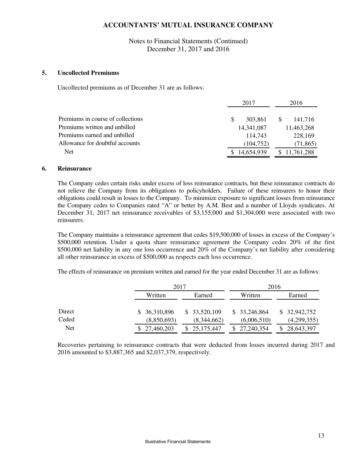Notes to Financial Statements (Continued) December 31, 2017 and 2016

#### **5. Uncollected Premiums**

Uncollected premiums as of December 31 are as follows:

|                                   | 2017                    | 2016                    |
|-----------------------------------|-------------------------|-------------------------|
|                                   |                         |                         |
| Premiums in course of collections | 303.861<br><sup>S</sup> | 141.716<br><sup>S</sup> |
| Premiums written and unbilled     | 14,341,087              | 11,463,268              |
| Premiums earned and unbilled      | 114.743                 | 228,169                 |
| Allowance for doubtful accounts   | (104, 752)              | (71, 865)               |
| <b>Net</b>                        | \$14,654,939            | \$11,761,288            |

#### **6. Reinsurance**

The Company cedes certain risks under excess of loss reinsurance contracts, but these reinsurance contracts do not relieve the Company from its obligations to policyholders. Failure of these reinsurers to honor their obligations could result in losses to the Company. To minimize exposure to significant losses from reinsurance the Company cedes to Companies rated "A" or better by A.M. Best and a number of Lloyds syndicates. At December 31, 2017 net reinsurance receivables of \$3,155,000 and \$1,304,000 were associated with two reinsurers.

The Company maintains a reinsurance agreement that cedes \$19,500,000 of losses in excess of the Company's \$500,000 retention. Under a quota share reinsurance agreement the Company cedes 20% of the first \$500,000 net liability in any one loss occurrence and 20% of the Company's net liability after considering all other reinsurance in excess of \$500,000 as respects each loss occurrence.

The effects of reinsurance on premium written and earned for the year ended December 31 are as follows:

|              |                             | 2016                                |                                      |  |  |
|--------------|-----------------------------|-------------------------------------|--------------------------------------|--|--|
| Written      | Earned                      |                                     | Earned                               |  |  |
| \$36,310,896 | \$33,520,109                | \$33,246,864                        | \$32,942,752                         |  |  |
|              |                             |                                     | (4,299,355)<br>28,643,397            |  |  |
|              | (8,850,693)<br>\$27,460,203 | 2017<br>(8,344,662)<br>\$25,175,447 | Written<br>(6,006,510)<br>27,240,354 |  |  |

Recoveries pertaining to reinsurance contracts that were deducted from losses incurred during 2017 and 2016 amounted to \$3,887,365 and \$2,037,379, respectively.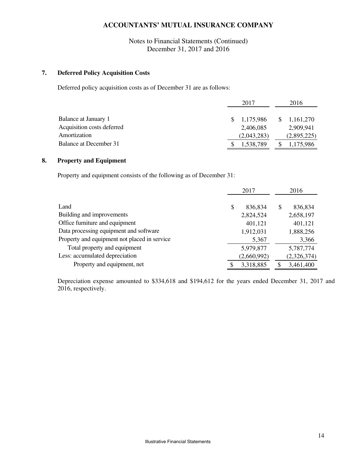Notes to Financial Statements (Continued) December 31, 2017 and 2016

### **7. Deferred Policy Acquisition Costs**

Deferred policy acquisition costs as of December 31 are as follows:

|                            | 2017        | 2016                  |
|----------------------------|-------------|-----------------------|
| Balance at January 1       | 1,175,986   | $\frac{1,161,270}{2}$ |
| Acquisition costs deferred | 2,406,085   | 2.909.941             |
| Amortization               | (2,043,283) | (2,895,225)           |
| Balance at December 31     | 1,538,789   | 1,175,986             |

### **8. Property and Equipment**

Property and equipment consists of the following as of December 31:

|                                              |    | 2017        | 2016          |
|----------------------------------------------|----|-------------|---------------|
|                                              |    |             |               |
| Land                                         | \$ | 836,834     | \$<br>836,834 |
| Building and improvements                    |    | 2,824,524   | 2,658,197     |
| Office furniture and equipment               |    | 401,121     | 401,121       |
| Data processing equipment and software       |    | 1,912,031   | 1,888,256     |
| Property and equipment not placed in service |    | 5,367       | 3,366         |
| Total property and equipment                 |    | 5,979,877   | 5,787,774     |
| Less: accumulated depreciation               |    | (2,660,992) | (2,326,374)   |
| Property and equipment, net                  | S  | 3,318,885   | 3,461,400     |

Depreciation expense amounted to \$334,618 and \$194,612 for the years ended December 31, 2017 and 2016, respectively.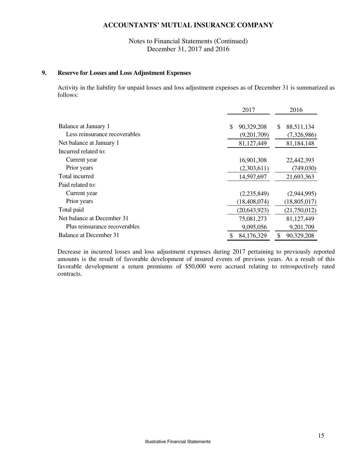Notes to Financial Statements (Continued) December 31, 2017 and 2016

### **9. Reserve for Losses and Loss Adjustment Expenses**

Activity in the liability for unpaid losses and loss adjustment expenses as of December 31 is summarized as follows:

|                               | 2017             | 2016             |
|-------------------------------|------------------|------------------|
| Balance at January 1          | \$<br>90,329,208 | \$<br>88,511,134 |
| Less reinsurance recoverables | (9,201,709)      | (7,326,986)      |
| Net balance at January 1      | 81,127,449       | 81,184,148       |
| Incurred related to:          |                  |                  |
| Current year                  | 16,901,308       | 22,442,393       |
| Prior years                   | (2,303,611)      | (749,030)        |
| Total incurred                | 14,597,697       | 21,693,363       |
| Paid related to:              |                  |                  |
| Current year                  | (2,235,849)      | (2,944,995)      |
| Prior years                   | (18, 408, 074)   | (18, 805, 017)   |
| Total paid                    | (20, 643, 923)   | (21,750,012)     |
| Net balance at December 31    | 75,081,273       | 81,127,449       |
| Plus reinsurance recoverables | 9,095,056        | 9,201,709        |
| Balance at December 31        | \$<br>84,176,329 | \$<br>90,329,208 |

Decrease in incurred losses and loss adjustment expenses during 2017 pertaining to previously reported amounts is the result of favorable development of insured events of previous years. As a result of this favorable development a return premiums of \$50,000 were accrued relating to retrospectively rated contracts.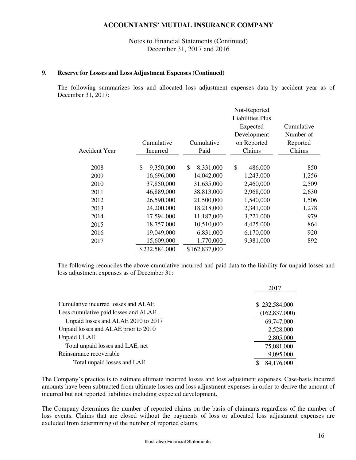### Notes to Financial Statements (Continued) December 31, 2017 and 2016

#### **9. Reserve for Losses and Loss Adjustment Expenses (Continued)**

The following summarizes loss and allocated loss adjustment expenses data by accident year as of December 31, 2017:

|                      |                 |                 | Not-Reported            |            |
|----------------------|-----------------|-----------------|-------------------------|------------|
|                      |                 |                 | <b>Liabilities Plus</b> |            |
|                      |                 |                 | Expected                | Cumulative |
|                      |                 |                 | Development             | Number of  |
|                      | Cumulative      | Cumulative      | on Reported             | Reported   |
| <b>Accident Year</b> | Incurred        | Paid            | Claims                  | Claims     |
|                      |                 |                 |                         |            |
| 2008                 | \$<br>9,350,000 | \$<br>8,331,000 | \$<br>486,000           | 850        |
| 2009                 | 16,696,000      | 14,042,000      | 1,243,000               | 1,256      |
| 2010                 | 37,850,000      | 31,635,000      | 2,460,000               | 2,509      |
| 2011                 | 46,889,000      | 38,813,000      | 2,968,000               | 2,630      |
| 2012                 | 26,590,000      | 21,500,000      | 1,540,000               | 1,506      |
| 2013                 | 24,200,000      | 18,218,000      | 2,341,000               | 1,278      |
| 2014                 | 17,594,000      | 11,187,000      | 3,221,000               | 979        |
| 2015                 | 18,757,000      | 10,510,000      | 4,425,000               | 864        |
| 2016                 | 19,049,000      | 6,831,000       | 6,170,000               | 920        |
| 2017                 | 15,609,000      | 1,770,000       | 9,381,000               | 892        |
|                      | \$232,584,000   | \$162,837,000   |                         |            |
|                      |                 |                 |                         |            |

The following reconciles the above cumulative incurred and paid data to the liability for unpaid losses and loss adjustment expenses as of December 31:

|                                      | 2017            |
|--------------------------------------|-----------------|
|                                      |                 |
| Cumulative incurred losses and ALAE  | \$232,584,000   |
| Less cumulative paid losses and ALAE | (162, 837, 000) |
| Unpaid losses and ALAE 2010 to 2017  | 69,747,000      |
| Unpaid losses and ALAE prior to 2010 | 2,528,000       |
| Unpaid ULAE                          | 2,805,000       |
| Total unpaid losses and LAE, net     | 75,081,000      |
| Reinsurance recoverable              | 9,095,000       |
| Total unpaid losses and LAE          | 84,176,000      |
|                                      |                 |

The Company's practice is to estimate ultimate incurred losses and loss adjustment expenses. Case-basis incurred amounts have been subtracted from ultimate losses and loss adjustment expenses in order to derive the amount of incurred but not reported liabilities including expected development.

The Company determines the number of reported claims on the basis of claimants regardless of the number of loss events. Claims that are closed without the payments of loss or allocated loss adjustment expenses are excluded from determining of the number of reported claims.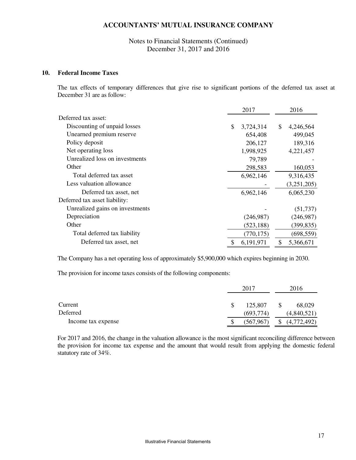Notes to Financial Statements (Continued) December 31, 2017 and 2016

#### **10. Federal Income Taxes**

The tax effects of temporary differences that give rise to significant portions of the deferred tax asset at December 31 are as follow:

|                                 | 2017            | 2016            |  |
|---------------------------------|-----------------|-----------------|--|
| Deferred tax asset:             |                 |                 |  |
| Discounting of unpaid losses    | \$<br>3,724,314 | \$<br>4,246,564 |  |
| Unearned premium reserve        | 654,408         | 499,045         |  |
| Policy deposit                  | 206,127         | 189,316         |  |
| Net operating loss              | 1,998,925       | 4,221,457       |  |
| Unrealized loss on investments  | 79,789          |                 |  |
| Other                           | 298,583         | 160,053         |  |
| Total deferred tax asset        | 6,962,146       | 9,316,435       |  |
| Less valuation allowance        |                 | (3,251,205)     |  |
| Deferred tax asset, net         | 6,962,146       | 6,065,230       |  |
| Deferred tax asset liability:   |                 |                 |  |
| Unrealized gains on investments |                 | (51, 737)       |  |
| Depreciation                    | (246,987)       | (246,987)       |  |
| Other                           | (523, 188)      | (399, 835)      |  |
| Total deferred tax liability    | (770, 175)      | (698, 559)      |  |
| Deferred tax asset, net         | 6,191,971       | \$<br>5,366,671 |  |

The Company has a net operating loss of approximately \$5,900,000 which expires beginning in 2030.

The provision for income taxes consists of the following components:

|                    | 2017       |   | 2016        |  |
|--------------------|------------|---|-------------|--|
| Current            | 125,807    | S | 68,029      |  |
| Deferred           | (693,774)  |   | (4,840,521) |  |
| Income tax expense | (567, 967) | S | (4,772,492) |  |

For 2017 and 2016, the change in the valuation allowance is the most significant reconciling difference between the provision for income tax expense and the amount that would result from applying the domestic federal statutory rate of 34%.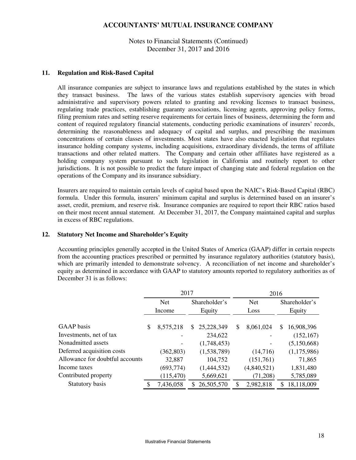Notes to Financial Statements (Continued) December 31, 2017 and 2016

#### **11. Regulation and Risk-Based Capital**

All insurance companies are subject to insurance laws and regulations established by the states in which they transact business. The laws of the various states establish supervisory agencies with broad administrative and supervisory powers related to granting and revoking licenses to transact business, regulating trade practices, establishing guaranty associations, licensing agents, approving policy forms, filing premium rates and setting reserve requirements for certain lines of business, determining the form and content of required regulatory financial statements, conducting periodic examinations of insurers' records, determining the reasonableness and adequacy of capital and surplus, and prescribing the maximum concentrations of certain classes of investments. Most states have also enacted legislation that regulates insurance holding company systems, including acquisitions, extraordinary dividends, the terms of affiliate transactions and other related matters. The Company and certain other affiliates have registered as a holding company system pursuant to such legislation in California and routinely report to other jurisdictions. It is not possible to predict the future impact of changing state and federal regulation on the operations of the Company and its insurance subsidiary.

Insurers are required to maintain certain levels of capital based upon the NAIC's Risk-Based Capital (RBC) formula. Under this formula, insurers' minimum capital and surplus is determined based on an insurer's asset, credit, premium, and reserve risk. Insurance companies are required to report their RBC ratios based on their most recent annual statement. At December 31, 2017, the Company maintained capital and surplus in excess of RBC regulations.

#### **12. Statutory Net Income and Shareholder's Equity**

Accounting principles generally accepted in the United States of America (GAAP) differ in certain respects from the accounting practices prescribed or permitted by insurance regulatory authorities (statutory basis), which are primarily intended to demonstrate solvency. A reconciliation of net income and shareholder's equity as determined in accordance with GAAP to statutory amounts reported to regulatory authorities as of December 31 is as follows:

|                                 | 2017 |            |               |             | 2016       |             |               |             |
|---------------------------------|------|------------|---------------|-------------|------------|-------------|---------------|-------------|
|                                 |      | Net        | Shareholder's |             | <b>Net</b> |             | Shareholder's |             |
|                                 |      | Income     |               | Equity      |            | Loss        | Equity        |             |
|                                 |      |            |               |             |            |             |               |             |
| GAAP basis                      | \$   | 8,575,218  | \$.           | 25,228,349  | \$         | 8,061,024   | \$.           | 16,908,396  |
| Investments, net of tax         |      |            |               | 234,622     |            |             |               | (152, 167)  |
| Nonadmitted assets              |      |            |               | (1,748,453) |            |             |               | (5,150,668) |
| Deferred acquisition costs      |      | (362, 803) |               | (1,538,789) |            | (14,716)    |               | (1,175,986) |
| Allowance for doubtful accounts |      | 32,887     |               | 104,752     |            | (151,761)   |               | 71,865      |
| Income taxes                    |      | (693, 774) |               | (1,444,532) |            | (4,840,521) |               | 1,831,480   |
| Contributed property            |      | (115, 470) |               | 5,669,621   |            | (71,208)    |               | 5,785,089   |
| Statutory basis                 | S    | 7,436,058  | S.            | 26,505,570  |            | 2,982,818   | S             | 18,118,009  |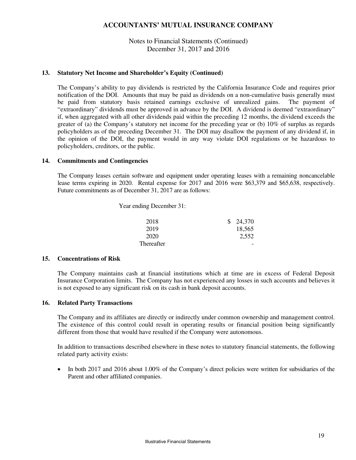### Notes to Financial Statements (Continued) December 31, 2017 and 2016

### **13. Statutory Net Income and Shareholder's Equity (Continued)**

The Company's ability to pay dividends is restricted by the California Insurance Code and requires prior notification of the DOI. Amounts that may be paid as dividends on a non-cumulative basis generally must be paid from statutory basis retained earnings exclusive of unrealized gains. The payment of "extraordinary" dividends must be approved in advance by the DOI. A dividend is deemed "extraordinary" if, when aggregated with all other dividends paid within the preceding 12 months, the dividend exceeds the greater of (a) the Company's statutory net income for the preceding year or (b) 10% of surplus as regards policyholders as of the preceding December 31. The DOI may disallow the payment of any dividend if, in the opinion of the DOI, the payment would in any way violate DOI regulations or be hazardous to policyholders, creditors, or the public.

#### **14. Commitments and Contingencies**

The Company leases certain software and equipment under operating leases with a remaining noncancelable lease terms expiring in 2020. Rental expense for 2017 and 2016 were \$63,379 and \$65,638, respectively. Future commitments as of December 31, 2017 are as follows:

Year ending December 31:

| 2018              | \$24,370 |
|-------------------|----------|
| 2019              | 18,565   |
| 2020              | 2,552    |
| <b>Thereafter</b> |          |

### **15. Concentrations of Risk**

The Company maintains cash at financial institutions which at time are in excess of Federal Deposit Insurance Corporation limits. The Company has not experienced any losses in such accounts and believes it is not exposed to any significant risk on its cash in bank deposit accounts.

#### **16. Related Party Transactions**

The Company and its affiliates are directly or indirectly under common ownership and management control. The existence of this control could result in operating results or financial position being significantly different from those that would have resulted if the Company were autonomous.

In addition to transactions described elsewhere in these notes to statutory financial statements, the following related party activity exists:

• In both 2017 and 2016 about 1.00% of the Company's direct policies were written for subsidiaries of the Parent and other affiliated companies.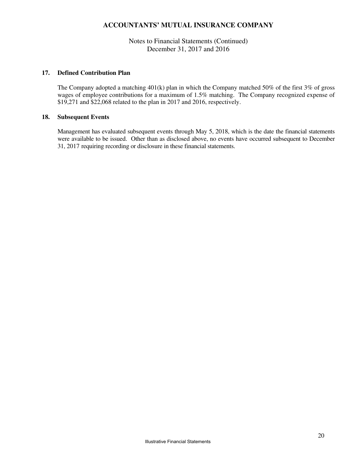### Notes to Financial Statements (Continued) December 31, 2017 and 2016

#### **17. Defined Contribution Plan**

The Company adopted a matching 401(k) plan in which the Company matched 50% of the first 3% of gross wages of employee contributions for a maximum of 1.5% matching. The Company recognized expense of \$19,271 and \$22,068 related to the plan in 2017 and 2016, respectively.

### **18. Subsequent Events**

Management has evaluated subsequent events through May 5, 2018, which is the date the financial statements were available to be issued. Other than as disclosed above, no events have occurred subsequent to December 31, 2017 requiring recording or disclosure in these financial statements.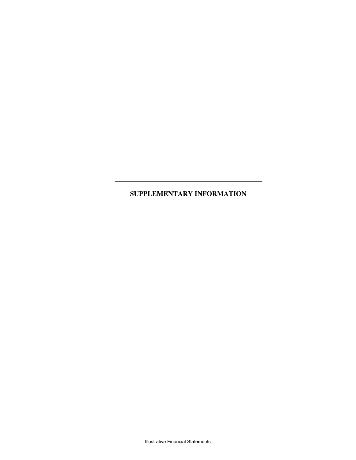# **SUPPLEMENTARY INFORMATION**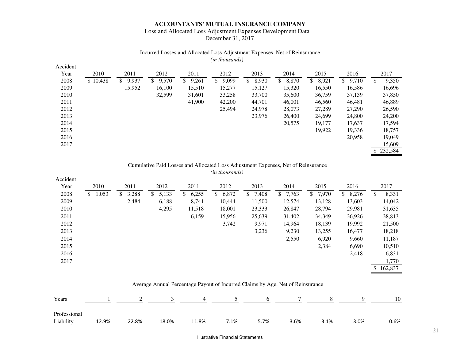### Loss and Allocated Loss Adjustment Expenses Development Data December 31, 2017

#### Incurred Losses and Allocated Loss Adjustment Expenses, Net of Reinsurance *(in thousands)*

| Accident |          |             |             |             |             |             |             |             |             |            |
|----------|----------|-------------|-------------|-------------|-------------|-------------|-------------|-------------|-------------|------------|
| Year     | 2010     | 2011        | 2012        | 2011        | 2012        | 2013        | 2014        | 2015        | 2016        | 2017       |
| 2008     | \$10,438 | \$<br>9,937 | 9,570<br>S. | \$<br>9,261 | 9,099<br>S. | 8,930<br>\$ | 8,870<br>\$ | 8,921<br>\$ | \$<br>9,710 | 9,350<br>S |
| 2009     |          | 15,952      | 16,100      | 15,510      | 15,277      | 15,127      | 15,320      | 16,550      | 16,586      | 16,696     |
| 2010     |          |             | 32,599      | 31,601      | 33,258      | 33,700      | 35,600      | 36,759      | 37,139      | 37,850     |
| 2011     |          |             |             | 41,900      | 42,200      | 44,701      | 46,001      | 46,560      | 46,481      | 46,889     |
| 2012     |          |             |             |             | 25,494      | 24,978      | 28,073      | 27,289      | 27,290      | 26,590     |
| 2013     |          |             |             |             |             | 23,976      | 26,400      | 24,699      | 24,800      | 24,200     |
| 2014     |          |             |             |             |             |             | 20,575      | 19,177      | 17,637      | 17,594     |
| 2015     |          |             |             |             |             |             |             | 19,922      | 19,336      | 18,757     |
| 2016     |          |             |             |             |             |             |             |             | 20,958      | 19,049     |
| 2017     |          |             |             |             |             |             |             |             |             | 15,609     |
|          |          |             |             |             |             |             |             |             |             | \$232,584  |

#### Cumulative Paid Losses and Allocated Loss Adjustment Expenses, Net of Reinsurance *(in thousands)*

| Accident |      |       |             |    |       |             |             |             |             |             |             |      |           |
|----------|------|-------|-------------|----|-------|-------------|-------------|-------------|-------------|-------------|-------------|------|-----------|
| Year     | 2010 |       | 2011        |    | 2012  | 2011        | 2012        | 2013        | 2014        | 2015        | 2016        | 2017 |           |
| 2008     | S.   | 1,053 | \$<br>3,288 | S. | 5,133 | 6,255<br>S. | 6,872<br>S. | 7,408<br>\$ | 7,763<br>\$ | 7,970<br>\$ | 8,276<br>\$ | \$   | 8,331     |
| 2009     |      |       | 2,484       |    | 6,188 | 8,741       | 10,444      | 11,500      | 12,574      | 13,128      | 13,603      |      | 14,042    |
| 2010     |      |       |             |    | 4,295 | 11,518      | 18,001      | 23,333      | 26,847      | 28,794      | 29,981      |      | 31,635    |
| 2011     |      |       |             |    |       | 6,159       | 15,956      | 25,639      | 31,402      | 34,349      | 36,926      |      | 38,813    |
| 2012     |      |       |             |    |       |             | 3,742       | 9,971       | 14,964      | 18,139      | 19,992      |      | 21,500    |
| 2013     |      |       |             |    |       |             |             | 3,236       | 9,230       | 13,255      | 16,477      |      | 18,218    |
| 2014     |      |       |             |    |       |             |             |             | 2,550       | 6,920       | 9,660       |      | 11,187    |
| 2015     |      |       |             |    |       |             |             |             |             | 2,384       | 6,690       |      | 10,510    |
| 2016     |      |       |             |    |       |             |             |             |             |             | 2,418       |      | 6,831     |
| 2017     |      |       |             |    |       |             |             |             |             |             |             |      | 1,770     |
|          |      |       |             |    |       |             |             |             |             |             |             |      | \$162,837 |

### Average Annual Percentage Payout of Incurred Claims by Age, Net of Reinsurance

| Years                     |       |       |       |       | 1 2 3 4 5 6 7 8 |      |      |      | $\overline{q}$ | 10      |
|---------------------------|-------|-------|-------|-------|-----------------|------|------|------|----------------|---------|
| Professional<br>Liability | 12.9% | 22.8% | 18.0% | 11.8% | 7.1%            | 5.7% | 3.6% | 3.1% | 3.0%           | $0.6\%$ |